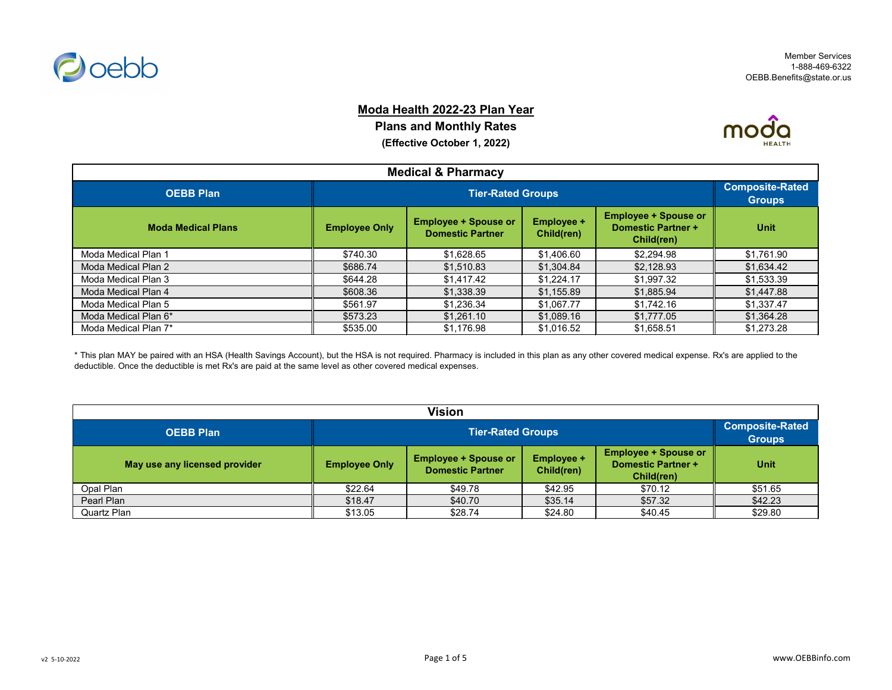

#### **Moda Health 2022-23 Plan Year**

**Plans and Monthly Rates (Effective October 1, 2022)**



| <b>Medical &amp; Pharmacy</b> |                                                                                                                                                                                             |                          |            |            |            |  |
|-------------------------------|---------------------------------------------------------------------------------------------------------------------------------------------------------------------------------------------|--------------------------|------------|------------|------------|--|
| <b>OEBB Plan</b>              |                                                                                                                                                                                             | <b>Tier-Rated Groups</b> |            |            |            |  |
| <b>Moda Medical Plans</b>     | <b>Employee + Spouse or</b><br><b>Employee +</b><br><b>Employee + Spouse or</b><br><b>Domestic Partner +</b><br><b>Employee Only</b><br><b>Domestic Partner</b><br>Child(ren)<br>Child(ren) |                          |            |            |            |  |
| Moda Medical Plan 1           | \$740.30                                                                                                                                                                                    | \$1,628.65               | \$1,406.60 | \$2,294.98 | \$1,761.90 |  |
| Moda Medical Plan 2           | \$686.74                                                                                                                                                                                    | \$1,510.83               | \$1,304.84 | \$2,128.93 | \$1,634.42 |  |
| Moda Medical Plan 3           | \$644.28                                                                                                                                                                                    | \$1,417.42               | \$1,224.17 | \$1,997.32 | \$1,533.39 |  |
| Moda Medical Plan 4           | \$608.36                                                                                                                                                                                    | \$1,338.39               | \$1,155.89 | \$1,885.94 | \$1,447.88 |  |
| Moda Medical Plan 5           | \$561.97                                                                                                                                                                                    | \$1,236.34               | \$1,067.77 | \$1,742.16 | \$1,337.47 |  |
| Moda Medical Plan 6*          | \$573.23                                                                                                                                                                                    | \$1,261.10               | \$1,089.16 | \$1,777.05 | \$1,364.28 |  |
| Moda Medical Plan 7*          | \$535.00                                                                                                                                                                                    | \$1,176.98               | \$1,016.52 | \$1,658.51 | \$1,273.28 |  |

\* This plan MAY be paired with an HSA (Health Savings Account), but the HSA is not required. Pharmacy is included in this plan as any other covered medical expense. Rx's are applied to the deductible. Once the deductible is met Rx's are paid at the same level as other covered medical expenses.

| <b>Vision</b>                 |                          |             |         |         |                                         |  |
|-------------------------------|--------------------------|-------------|---------|---------|-----------------------------------------|--|
| <b>OEBB Plan</b>              | <b>Tier-Rated Groups</b> |             |         |         | <b>Composite-Rated</b><br><b>Groups</b> |  |
| May use any licensed provider | <b>Employee Only</b>     | <b>Unit</b> |         |         |                                         |  |
| Opal Plan                     | \$22.64                  | \$49.78     | \$42.95 | \$70.12 | \$51.65                                 |  |
| Pearl Plan                    | \$18.47                  | \$40.70     | \$35.14 | \$57.32 | \$42.23                                 |  |
| <b>Quartz Plan</b>            | \$13.05                  | \$28.74     | \$24.80 | \$40.45 | \$29.80                                 |  |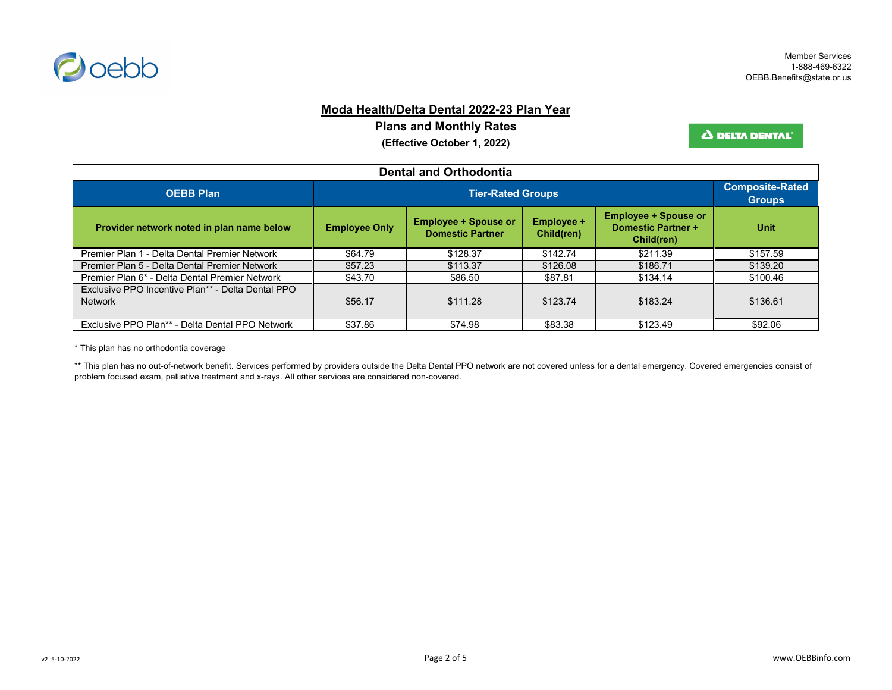

# **Moda Health/Delta Dental 2022-23 Plan Year**

**Plans and Monthly Rates**

**(Effective October 1, 2022)**

Δ DELTA DENTAL'

| <b>Dental and Orthodontia</b>                                       |                      |                                                                                                                                                                     |          |          |          |  |
|---------------------------------------------------------------------|----------------------|---------------------------------------------------------------------------------------------------------------------------------------------------------------------|----------|----------|----------|--|
| <b>OEBB Plan</b>                                                    |                      | <b>Composite-Rated</b><br><b>Groups</b>                                                                                                                             |          |          |          |  |
| Provider network noted in plan name below                           | <b>Employee Only</b> | <b>Employee + Spouse or</b><br><b>Employee + Spouse or</b><br><b>Employee +</b><br><b>Domestic Partner +</b><br><b>Domestic Partner</b><br>Child(ren)<br>Child(ren) |          |          |          |  |
| Premier Plan 1 - Delta Dental Premier Network                       | \$64.79              | \$128.37                                                                                                                                                            | \$142.74 | \$211.39 | \$157.59 |  |
| Premier Plan 5 - Delta Dental Premier Network                       | \$57.23              | \$113.37                                                                                                                                                            | \$126.08 | \$186.71 | \$139.20 |  |
| Premier Plan 6* - Delta Dental Premier Network                      | \$43.70              | \$86.50                                                                                                                                                             | \$87.81  | \$134.14 | \$100.46 |  |
| Exclusive PPO Incentive Plan** - Delta Dental PPO<br><b>Network</b> | \$56.17              | \$111.28                                                                                                                                                            | \$123.74 | \$183.24 | \$136.61 |  |
| Exclusive PPO Plan** - Delta Dental PPO Network                     | \$37.86              | \$74.98                                                                                                                                                             | \$83.38  | \$123.49 | \$92.06  |  |

\* This plan has no orthodontia coverage

\*\* This plan has no out-of-network benefit. Services performed by providers outside the Delta Dental PPO network are not covered unless for a dental emergency. Covered emergencies consist of problem focused exam, palliative treatment and x-rays. All other services are considered non-covered.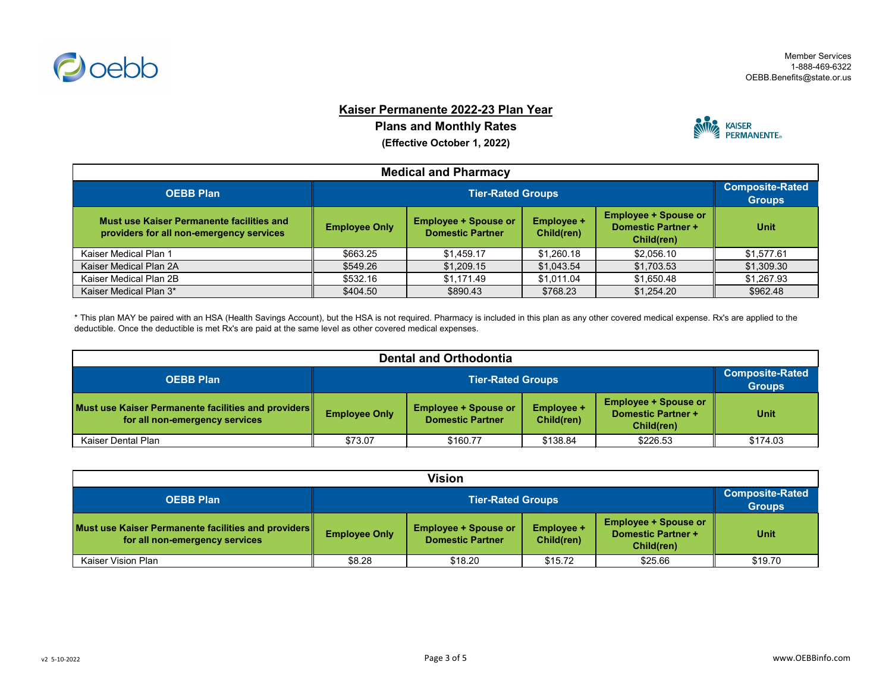

# **Kaiser Permanente 2022-23 Plan Year**

**Plans and Monthly Rates**

**(Effective October 1, 2022)**



| <b>Medical and Pharmacy</b>                                                           |                      |                                         |            |            |            |  |
|---------------------------------------------------------------------------------------|----------------------|-----------------------------------------|------------|------------|------------|--|
| <b>OEBB Plan</b>                                                                      |                      | <b>Composite-Rated</b><br><b>Groups</b> |            |            |            |  |
| Must use Kaiser Permanente facilities and<br>providers for all non-emergency services | <b>Employee Only</b> | <b>Unit</b>                             |            |            |            |  |
| Kaiser Medical Plan 1                                                                 | \$663.25             | \$1,459.17                              | \$1,260.18 | \$2,056.10 | \$1,577.61 |  |
| Kaiser Medical Plan 2A                                                                | \$549.26             | \$1,209.15                              | \$1,043.54 | \$1,703.53 | \$1,309.30 |  |
| Kaiser Medical Plan 2B                                                                | \$532.16             | \$1,171.49                              | \$1,011.04 | \$1,650.48 | \$1,267.93 |  |
| Kaiser Medical Plan 3*                                                                | \$404.50             | \$890.43                                | \$768.23   | \$1,254.20 | \$962.48   |  |

\* This plan MAY be paired with an HSA (Health Savings Account), but the HSA is not required. Pharmacy is included in this plan as any other covered medical expense. Rx's are applied to the deductible. Once the deductible is met Rx's are paid at the same level as other covered medical expenses.

| Dental and Orthodontia                                                                |                      |                                                                                                                                                                     |          |          |          |  |
|---------------------------------------------------------------------------------------|----------------------|---------------------------------------------------------------------------------------------------------------------------------------------------------------------|----------|----------|----------|--|
| <b>OEBB Plan</b>                                                                      |                      | <b>Tier-Rated Groups</b>                                                                                                                                            |          |          |          |  |
| Must use Kaiser Permanente facilities and providers<br>for all non-emergency services | <b>Employee Only</b> | <b>Employee + Spouse or</b><br><b>Employee +</b><br><b>Employee + Spouse or</b><br><b>Domestic Partner +</b><br><b>Domestic Partner</b><br>Child(ren)<br>Child(ren) |          |          |          |  |
| <b>Kaiser Dental Plan</b>                                                             | \$73.07              | \$160.77                                                                                                                                                            | \$138.84 | \$226.53 | \$174.03 |  |

| <b>Vision</b>                                                                         |                      |                                                                                                                                                                     |         |         |         |  |
|---------------------------------------------------------------------------------------|----------------------|---------------------------------------------------------------------------------------------------------------------------------------------------------------------|---------|---------|---------|--|
| <b>OEBB Plan</b>                                                                      |                      | <b>Tier-Rated Groups</b>                                                                                                                                            |         |         |         |  |
| Must use Kaiser Permanente facilities and providers<br>for all non-emergency services | <b>Employee Only</b> | <b>Employee + Spouse or</b><br><b>Employee + Spouse or</b><br><b>Employee +</b><br><b>Domestic Partner +</b><br><b>Domestic Partner</b><br>Child(ren)<br>Child(ren) |         |         |         |  |
| Kaiser Vision Plan                                                                    | \$8.28               | \$18.20                                                                                                                                                             | \$15.72 | \$25.66 | \$19.70 |  |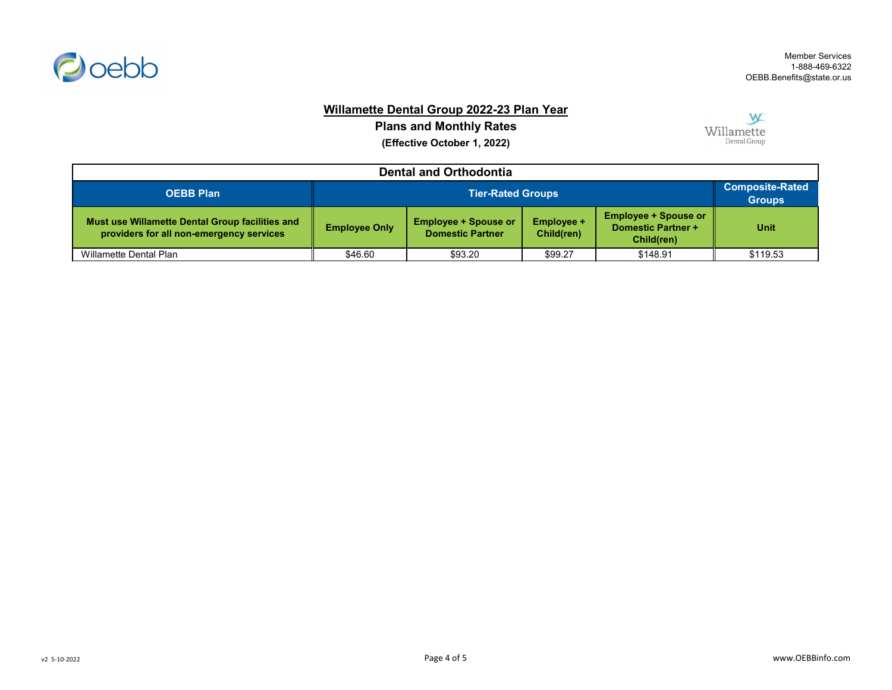

# **Willamette Dental Group 2022-23 Plan Year**

**Plans and Monthly Rates (Effective October 1, 2022)**

W Willamette Dental Group

| <b>Dental and Orthodontia</b>                                                               |                      |                                                                                                                                                                     |         |          |          |  |
|---------------------------------------------------------------------------------------------|----------------------|---------------------------------------------------------------------------------------------------------------------------------------------------------------------|---------|----------|----------|--|
| <b>OEBB Plan</b>                                                                            |                      | <b>Tier-Rated Groups</b>                                                                                                                                            |         |          |          |  |
| Must use Willamette Dental Group facilities and<br>providers for all non-emergency services | <b>Employee Only</b> | <b>Employee + Spouse or</b><br><b>Employee + Spouse or</b><br><b>Employee +</b><br><b>Domestic Partner +</b><br><b>Domestic Partner</b><br>Child(ren)<br>Child(ren) |         |          |          |  |
| <b>Willamette Dental Plan</b>                                                               | \$46.60              | \$93.20                                                                                                                                                             | \$99.27 | \$148.91 | \$119.53 |  |